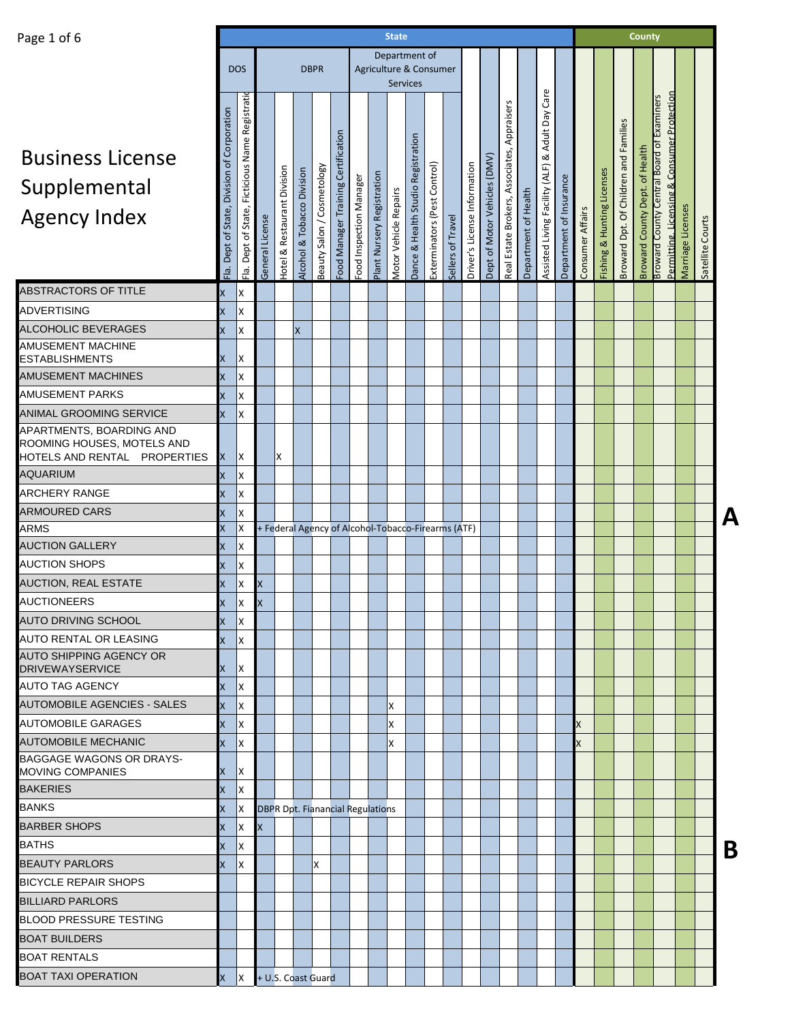| Page 1 of 6                                                                            |                                                        |                                                   |                 |                                        |                            |                                         |                                    |                        |                            | <b>State</b>                 |                                    |                                                    |                   |                                 |                              |                                                   |                      |                                                          |                         |                  |                            |                                       | County                         |                                                                                                    |                   |                  |   |
|----------------------------------------------------------------------------------------|--------------------------------------------------------|---------------------------------------------------|-----------------|----------------------------------------|----------------------------|-----------------------------------------|------------------------------------|------------------------|----------------------------|------------------------------|------------------------------------|----------------------------------------------------|-------------------|---------------------------------|------------------------------|---------------------------------------------------|----------------------|----------------------------------------------------------|-------------------------|------------------|----------------------------|---------------------------------------|--------------------------------|----------------------------------------------------------------------------------------------------|-------------------|------------------|---|
|                                                                                        |                                                        |                                                   |                 |                                        |                            |                                         |                                    |                        |                            | Department of                |                                    |                                                    |                   |                                 |                              |                                                   |                      |                                                          |                         |                  |                            |                                       |                                |                                                                                                    |                   |                  |   |
|                                                                                        |                                                        | <b>DOS</b>                                        |                 |                                        |                            | <b>DBPR</b>                             |                                    |                        |                            | <b>Services</b>              |                                    | Agriculture & Consumer                             |                   |                                 |                              |                                                   |                      |                                                          |                         |                  |                            |                                       |                                |                                                                                                    |                   |                  |   |
| <b>Business License</b><br>Supplemental<br><b>Agency Index</b>                         | Corporation<br>đ<br>Division<br>of State,<br>Fla. Dept | Ficticious Name Registrati<br>Fla. Dept of State, | General License | <b>Hotel &amp; Restaurant Division</b> | Alcohol & Tobacco Division | Beauty Salon / Cosmetology              | ood Manager Training Certification | ood Inspection Manager | Plant Nursery Registration | <b>Motor Vehicle Repairs</b> | Dance & Health Studio Registration | Exterminators (Pest Control)                       | Sellers of Travel | Information<br>Driver's License | Dept of Motor Vehicles (DMV) | Appraisers<br>Associates,<br>Real Estate Brokers, | Department of Health | ٥<br>້ອ<br>Adult Day<br>Assisted Living Facility (ALF) & | Department of Insurance | Consumer Affairs | Fishing & Hunting Licenses | Broward Dpt. Of Children and Families | Broward County Dept. of Health | Permitting. Licensing & Consumer Protection<br>Examiners<br><b>Broward County Central Board of</b> | Marriage Licenses | Satellite Courts |   |
| <b>ABSTRACTORS OF TITLE</b>                                                            | X                                                      | X                                                 |                 |                                        |                            |                                         |                                    |                        |                            |                              |                                    |                                                    |                   |                                 |                              |                                                   |                      |                                                          |                         |                  |                            |                                       |                                |                                                                                                    |                   |                  |   |
| ADVERTISING                                                                            | x                                                      | Χ                                                 |                 |                                        |                            |                                         |                                    |                        |                            |                              |                                    |                                                    |                   |                                 |                              |                                                   |                      |                                                          |                         |                  |                            |                                       |                                |                                                                                                    |                   |                  |   |
| ALCOHOLIC BEVERAGES                                                                    | X                                                      | X                                                 |                 |                                        |                            |                                         |                                    |                        |                            |                              |                                    |                                                    |                   |                                 |                              |                                                   |                      |                                                          |                         |                  |                            |                                       |                                |                                                                                                    |                   |                  |   |
| AMUSEMENT MACHINE                                                                      |                                                        |                                                   |                 |                                        | $\overline{\mathsf{x}}$    |                                         |                                    |                        |                            |                              |                                    |                                                    |                   |                                 |                              |                                                   |                      |                                                          |                         |                  |                            |                                       |                                |                                                                                                    |                   |                  |   |
| <b>ESTABLISHMENTS</b>                                                                  | x                                                      | X                                                 |                 |                                        |                            |                                         |                                    |                        |                            |                              |                                    |                                                    |                   |                                 |                              |                                                   |                      |                                                          |                         |                  |                            |                                       |                                |                                                                                                    |                   |                  |   |
| AMUSEMENT MACHINES                                                                     | X                                                      | X                                                 |                 |                                        |                            |                                         |                                    |                        |                            |                              |                                    |                                                    |                   |                                 |                              |                                                   |                      |                                                          |                         |                  |                            |                                       |                                |                                                                                                    |                   |                  |   |
| <b>AMUSEMENT PARKS</b>                                                                 | x                                                      | X                                                 |                 |                                        |                            |                                         |                                    |                        |                            |                              |                                    |                                                    |                   |                                 |                              |                                                   |                      |                                                          |                         |                  |                            |                                       |                                |                                                                                                    |                   |                  |   |
| ANIMAL GROOMING SERVICE                                                                | X                                                      | X                                                 |                 |                                        |                            |                                         |                                    |                        |                            |                              |                                    |                                                    |                   |                                 |                              |                                                   |                      |                                                          |                         |                  |                            |                                       |                                |                                                                                                    |                   |                  |   |
| APARTMENTS, BOARDING AND<br>ROOMING HOUSES, MOTELS AND<br>HOTELS AND RENTAL PROPERTIES | X                                                      | ΙX                                                |                 | X                                      |                            |                                         |                                    |                        |                            |                              |                                    |                                                    |                   |                                 |                              |                                                   |                      |                                                          |                         |                  |                            |                                       |                                |                                                                                                    |                   |                  |   |
| <b>AQUARIUM</b>                                                                        | X                                                      | X                                                 |                 |                                        |                            |                                         |                                    |                        |                            |                              |                                    |                                                    |                   |                                 |                              |                                                   |                      |                                                          |                         |                  |                            |                                       |                                |                                                                                                    |                   |                  |   |
| <b>ARCHERY RANGE</b>                                                                   | Χ                                                      | Χ                                                 |                 |                                        |                            |                                         |                                    |                        |                            |                              |                                    |                                                    |                   |                                 |                              |                                                   |                      |                                                          |                         |                  |                            |                                       |                                |                                                                                                    |                   |                  |   |
| <b>ARMOURED CARS</b>                                                                   |                                                        | Χ                                                 |                 |                                        |                            |                                         |                                    |                        |                            |                              |                                    |                                                    |                   |                                 |                              |                                                   |                      |                                                          |                         |                  |                            |                                       |                                |                                                                                                    |                   |                  |   |
| <b>ARMS</b>                                                                            | X                                                      | X                                                 |                 |                                        |                            |                                         |                                    |                        |                            |                              |                                    | + Federal Agency of Alcohol-Tobacco-Firearms (ATF) |                   |                                 |                              |                                                   |                      |                                                          |                         |                  |                            |                                       |                                |                                                                                                    |                   |                  | A |
| <b>AUCTION GALLERY</b>                                                                 | x                                                      | X                                                 |                 |                                        |                            |                                         |                                    |                        |                            |                              |                                    |                                                    |                   |                                 |                              |                                                   |                      |                                                          |                         |                  |                            |                                       |                                |                                                                                                    |                   |                  |   |
| <b>AUCTION SHOPS</b>                                                                   | x                                                      | Χ                                                 |                 |                                        |                            |                                         |                                    |                        |                            |                              |                                    |                                                    |                   |                                 |                              |                                                   |                      |                                                          |                         |                  |                            |                                       |                                |                                                                                                    |                   |                  |   |
| AUCTION, REAL ESTATE                                                                   | X                                                      | X                                                 | X               |                                        |                            |                                         |                                    |                        |                            |                              |                                    |                                                    |                   |                                 |                              |                                                   |                      |                                                          |                         |                  |                            |                                       |                                |                                                                                                    |                   |                  |   |
| <b>AUCTIONEERS</b>                                                                     | X.                                                     | $\mathsf{X}$                                      | IX.             |                                        |                            |                                         |                                    |                        |                            |                              |                                    |                                                    |                   |                                 |                              |                                                   |                      |                                                          |                         |                  |                            |                                       |                                |                                                                                                    |                   |                  |   |
| <b>AUTO DRIVING SCHOOL</b>                                                             |                                                        | X                                                 |                 |                                        |                            |                                         |                                    |                        |                            |                              |                                    |                                                    |                   |                                 |                              |                                                   |                      |                                                          |                         |                  |                            |                                       |                                |                                                                                                    |                   |                  |   |
| AUTO RENTAL OR LEASING                                                                 | X                                                      | X                                                 |                 |                                        |                            |                                         |                                    |                        |                            |                              |                                    |                                                    |                   |                                 |                              |                                                   |                      |                                                          |                         |                  |                            |                                       |                                |                                                                                                    |                   |                  |   |
| AUTO SHIPPING AGENCY OR                                                                |                                                        |                                                   |                 |                                        |                            |                                         |                                    |                        |                            |                              |                                    |                                                    |                   |                                 |                              |                                                   |                      |                                                          |                         |                  |                            |                                       |                                |                                                                                                    |                   |                  |   |
| <b>DRIVEWAYSERVICE</b>                                                                 |                                                        | X                                                 |                 |                                        |                            |                                         |                                    |                        |                            |                              |                                    |                                                    |                   |                                 |                              |                                                   |                      |                                                          |                         |                  |                            |                                       |                                |                                                                                                    |                   |                  |   |
| <b>AUTO TAG AGENCY</b>                                                                 | X                                                      | X                                                 |                 |                                        |                            |                                         |                                    |                        |                            |                              |                                    |                                                    |                   |                                 |                              |                                                   |                      |                                                          |                         |                  |                            |                                       |                                |                                                                                                    |                   |                  |   |
| AUTOMOBILE AGENCIES - SALES                                                            | <b>X</b>                                               | X                                                 |                 |                                        |                            |                                         |                                    |                        |                            | Χ                            |                                    |                                                    |                   |                                 |                              |                                                   |                      |                                                          |                         |                  |                            |                                       |                                |                                                                                                    |                   |                  |   |
| AUTOMOBILE GARAGES                                                                     | X                                                      | X                                                 |                 |                                        |                            |                                         |                                    |                        |                            | Χ                            |                                    |                                                    |                   |                                 |                              |                                                   |                      |                                                          |                         | X                |                            |                                       |                                |                                                                                                    |                   |                  |   |
| AUTOMOBILE MECHANIC<br><b>BAGGAGE WAGONS OR DRAYS-</b>                                 | X                                                      | X                                                 |                 |                                        |                            |                                         |                                    |                        |                            | X                            |                                    |                                                    |                   |                                 |                              |                                                   |                      |                                                          |                         | X                |                            |                                       |                                |                                                                                                    |                   |                  |   |
| <b>MOVING COMPANIES</b>                                                                | x.                                                     | х                                                 |                 |                                        |                            |                                         |                                    |                        |                            |                              |                                    |                                                    |                   |                                 |                              |                                                   |                      |                                                          |                         |                  |                            |                                       |                                |                                                                                                    |                   |                  |   |
| <b>BAKERIES</b>                                                                        | X                                                      | X                                                 |                 |                                        |                            |                                         |                                    |                        |                            |                              |                                    |                                                    |                   |                                 |                              |                                                   |                      |                                                          |                         |                  |                            |                                       |                                |                                                                                                    |                   |                  |   |
| <b>BANKS</b>                                                                           | X                                                      | X                                                 |                 |                                        |                            | <b>DBPR Dpt. Fianancial Regulations</b> |                                    |                        |                            |                              |                                    |                                                    |                   |                                 |                              |                                                   |                      |                                                          |                         |                  |                            |                                       |                                |                                                                                                    |                   |                  |   |
| <b>BARBER SHOPS</b>                                                                    | x                                                      | X                                                 | X.              |                                        |                            |                                         |                                    |                        |                            |                              |                                    |                                                    |                   |                                 |                              |                                                   |                      |                                                          |                         |                  |                            |                                       |                                |                                                                                                    |                   |                  |   |
| <b>BATHS</b>                                                                           | X                                                      | X                                                 |                 |                                        |                            |                                         |                                    |                        |                            |                              |                                    |                                                    |                   |                                 |                              |                                                   |                      |                                                          |                         |                  |                            |                                       |                                |                                                                                                    |                   |                  | B |
| BEAUTY PARLORS                                                                         | X                                                      | X                                                 |                 |                                        |                            | x                                       |                                    |                        |                            |                              |                                    |                                                    |                   |                                 |                              |                                                   |                      |                                                          |                         |                  |                            |                                       |                                |                                                                                                    |                   |                  |   |
| <b>BICYCLE REPAIR SHOPS</b>                                                            |                                                        |                                                   |                 |                                        |                            |                                         |                                    |                        |                            |                              |                                    |                                                    |                   |                                 |                              |                                                   |                      |                                                          |                         |                  |                            |                                       |                                |                                                                                                    |                   |                  |   |
| <b>BILLIARD PARLORS</b>                                                                |                                                        |                                                   |                 |                                        |                            |                                         |                                    |                        |                            |                              |                                    |                                                    |                   |                                 |                              |                                                   |                      |                                                          |                         |                  |                            |                                       |                                |                                                                                                    |                   |                  |   |
| <b>BLOOD PRESSURE TESTING</b>                                                          |                                                        |                                                   |                 |                                        |                            |                                         |                                    |                        |                            |                              |                                    |                                                    |                   |                                 |                              |                                                   |                      |                                                          |                         |                  |                            |                                       |                                |                                                                                                    |                   |                  |   |
| <b>BOAT BUILDERS</b>                                                                   |                                                        |                                                   |                 |                                        |                            |                                         |                                    |                        |                            |                              |                                    |                                                    |                   |                                 |                              |                                                   |                      |                                                          |                         |                  |                            |                                       |                                |                                                                                                    |                   |                  |   |
| <b>BOAT RENTALS</b>                                                                    |                                                        |                                                   |                 |                                        |                            |                                         |                                    |                        |                            |                              |                                    |                                                    |                   |                                 |                              |                                                   |                      |                                                          |                         |                  |                            |                                       |                                |                                                                                                    |                   |                  |   |
| <b>BOAT TAXI OPERATION</b>                                                             | X                                                      | X                                                 |                 |                                        |                            | + U.S. Coast Guard                      |                                    |                        |                            |                              |                                    |                                                    |                   |                                 |                              |                                                   |                      |                                                          |                         |                  |                            |                                       |                                |                                                                                                    |                   |                  |   |

**A**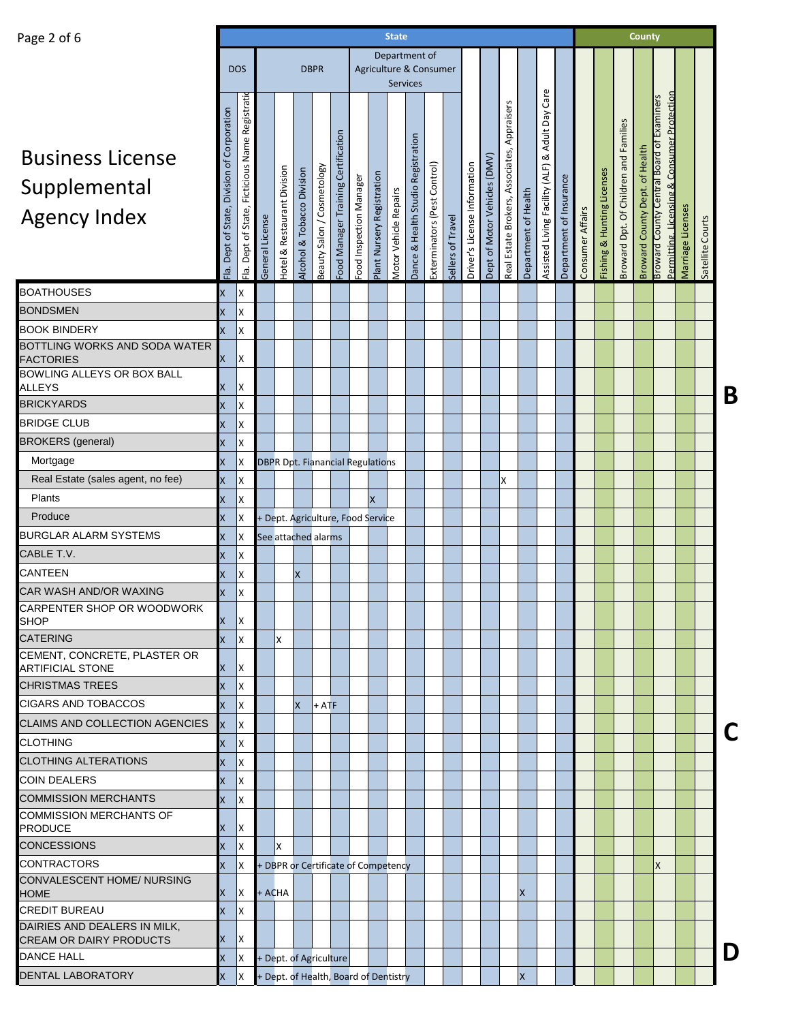| Page 2 of 6                                                     |                                                          |                                                   |                 |                             |                            |                            |                                         |                        |                            | <b>State</b>                              |                                    |                              |                  |                              |                              |                                                      |                         |                                                       |                         |                            |                            |                                          | <b>County</b>                               |                                                                                                    |                   |                  |   |
|-----------------------------------------------------------------|----------------------------------------------------------|---------------------------------------------------|-----------------|-----------------------------|----------------------------|----------------------------|-----------------------------------------|------------------------|----------------------------|-------------------------------------------|------------------------------------|------------------------------|------------------|------------------------------|------------------------------|------------------------------------------------------|-------------------------|-------------------------------------------------------|-------------------------|----------------------------|----------------------------|------------------------------------------|---------------------------------------------|----------------------------------------------------------------------------------------------------|-------------------|------------------|---|
|                                                                 |                                                          |                                                   |                 |                             |                            |                            |                                         |                        |                            | Department of                             |                                    |                              |                  |                              |                              |                                                      |                         |                                                       |                         |                            |                            |                                          |                                             |                                                                                                    |                   |                  |   |
|                                                                 |                                                          | <b>DOS</b>                                        |                 |                             |                            | <b>DBPR</b>                |                                         |                        |                            | Agriculture & Consumer<br><b>Services</b> |                                    |                              |                  |                              |                              |                                                      |                         |                                                       |                         |                            |                            |                                          |                                             |                                                                                                    |                   |                  |   |
| <b>Business License</b><br>Supplemental<br><b>Agency Index</b>  | Corporation<br>đ<br>Division<br>State,<br>đ<br>Fla. Dept | Ficticious Name Registrati<br>Fla. Dept of State, | General License | Hotel & Restaurant Division | Alcohol & Tobacco Division | Beauty Salon / Cosmetology | ood Manager Training Certification      | ood Inspection Manager | Plant Nursery Registration | <b>Motor Vehicle Repairs</b>              | Dance & Health Studio Registration | Exterminators (Pest Control) | sellers of Trave | Driver's License Information | Dept of Motor Vehicles (DMV) | Appraisers<br>Associates,<br>Estate Brokers,<br>Real | Health<br>Department of | Care<br>& Adult Day<br>Assisted Living Facility (ALF) | Department of Insurance | <b>Affairs</b><br>Consumer | Fishing & Hunting Licenses | Children and Families<br>Broward Dpt. Of | Health<br>Dept. of<br><b>Broward County</b> | Permitting. Licensing & Consumer Protection<br>Examiners<br><b>Broward County Central Board of</b> | Marriage Licenses | Satellite Courts |   |
| <b>BOATHOUSES</b>                                               | Χ                                                        | Χ                                                 |                 |                             |                            |                            |                                         |                        |                            |                                           |                                    |                              |                  |                              |                              |                                                      |                         |                                                       |                         |                            |                            |                                          |                                             |                                                                                                    |                   |                  |   |
| <b>BONDSMEN</b>                                                 | X                                                        | X                                                 |                 |                             |                            |                            |                                         |                        |                            |                                           |                                    |                              |                  |                              |                              |                                                      |                         |                                                       |                         |                            |                            |                                          |                                             |                                                                                                    |                   |                  |   |
| BOOK BINDERY                                                    | X                                                        | X                                                 |                 |                             |                            |                            |                                         |                        |                            |                                           |                                    |                              |                  |                              |                              |                                                      |                         |                                                       |                         |                            |                            |                                          |                                             |                                                                                                    |                   |                  |   |
| BOTTLING WORKS AND SODA WATER                                   |                                                          |                                                   |                 |                             |                            |                            |                                         |                        |                            |                                           |                                    |                              |                  |                              |                              |                                                      |                         |                                                       |                         |                            |                            |                                          |                                             |                                                                                                    |                   |                  |   |
| FACTORIES<br><b>BOWLING ALLEYS OR BOX BALL</b><br><b>ALLEYS</b> | x<br>х                                                   | X<br>Χ                                            |                 |                             |                            |                            |                                         |                        |                            |                                           |                                    |                              |                  |                              |                              |                                                      |                         |                                                       |                         |                            |                            |                                          |                                             |                                                                                                    |                   |                  |   |
| <b>BRICKYARDS</b>                                               | X                                                        | Χ                                                 |                 |                             |                            |                            |                                         |                        |                            |                                           |                                    |                              |                  |                              |                              |                                                      |                         |                                                       |                         |                            |                            |                                          |                                             |                                                                                                    |                   |                  | B |
| BRIDGE CLUB                                                     | x                                                        | Χ                                                 |                 |                             |                            |                            |                                         |                        |                            |                                           |                                    |                              |                  |                              |                              |                                                      |                         |                                                       |                         |                            |                            |                                          |                                             |                                                                                                    |                   |                  |   |
| <b>BROKERS (general)</b>                                        | x                                                        | X                                                 |                 |                             |                            |                            |                                         |                        |                            |                                           |                                    |                              |                  |                              |                              |                                                      |                         |                                                       |                         |                            |                            |                                          |                                             |                                                                                                    |                   |                  |   |
| Mortgage                                                        | X                                                        | X                                                 |                 |                             |                            |                            | <b>DBPR Dpt. Fianancial Regulations</b> |                        |                            |                                           |                                    |                              |                  |                              |                              |                                                      |                         |                                                       |                         |                            |                            |                                          |                                             |                                                                                                    |                   |                  |   |
| Real Estate (sales agent, no fee)                               | X                                                        | X                                                 |                 |                             |                            |                            |                                         |                        |                            |                                           |                                    |                              |                  |                              |                              | X                                                    |                         |                                                       |                         |                            |                            |                                          |                                             |                                                                                                    |                   |                  |   |
| Plants                                                          | X                                                        | X                                                 |                 |                             |                            |                            |                                         |                        | $\overline{\mathsf{x}}$    |                                           |                                    |                              |                  |                              |                              |                                                      |                         |                                                       |                         |                            |                            |                                          |                                             |                                                                                                    |                   |                  |   |
| Produce                                                         | X                                                        | Χ                                                 |                 |                             |                            |                            |                                         |                        |                            |                                           |                                    |                              |                  |                              |                              |                                                      |                         |                                                       |                         |                            |                            |                                          |                                             |                                                                                                    |                   |                  |   |
| BURGLAR ALARM SYSTEMS                                           |                                                          |                                                   |                 |                             |                            |                            | + Dept. Agriculture, Food Service       |                        |                            |                                           |                                    |                              |                  |                              |                              |                                                      |                         |                                                       |                         |                            |                            |                                          |                                             |                                                                                                    |                   |                  |   |
| CABLE T.V.                                                      | x                                                        | Χ                                                 |                 |                             | See attached alarms        |                            |                                         |                        |                            |                                           |                                    |                              |                  |                              |                              |                                                      |                         |                                                       |                         |                            |                            |                                          |                                             |                                                                                                    |                   |                  |   |
| CANTEEN                                                         | Χ                                                        | X                                                 |                 |                             |                            |                            |                                         |                        |                            |                                           |                                    |                              |                  |                              |                              |                                                      |                         |                                                       |                         |                            |                            |                                          |                                             |                                                                                                    |                   |                  |   |
| CAR WASH AND/OR WAXING                                          | X                                                        | Χ                                                 |                 |                             | X                          |                            |                                         |                        |                            |                                           |                                    |                              |                  |                              |                              |                                                      |                         |                                                       |                         |                            |                            |                                          |                                             |                                                                                                    |                   |                  |   |
| CARPENTER SHOP OR WOODWORK                                      | X                                                        | X                                                 |                 |                             |                            |                            |                                         |                        |                            |                                           |                                    |                              |                  |                              |                              |                                                      |                         |                                                       |                         |                            |                            |                                          |                                             |                                                                                                    |                   |                  |   |
| <b>SHOP</b>                                                     | X                                                        | X                                                 |                 |                             |                            |                            |                                         |                        |                            |                                           |                                    |                              |                  |                              |                              |                                                      |                         |                                                       |                         |                            |                            |                                          |                                             |                                                                                                    |                   |                  |   |
| <b>CATERING</b>                                                 | X                                                        | X                                                 |                 | Χ                           |                            |                            |                                         |                        |                            |                                           |                                    |                              |                  |                              |                              |                                                      |                         |                                                       |                         |                            |                            |                                          |                                             |                                                                                                    |                   |                  |   |
| CEMENT, CONCRETE, PLASTER OR                                    |                                                          |                                                   |                 |                             |                            |                            |                                         |                        |                            |                                           |                                    |                              |                  |                              |                              |                                                      |                         |                                                       |                         |                            |                            |                                          |                                             |                                                                                                    |                   |                  |   |
| <b>ARTIFICIAL STONE</b>                                         | x                                                        | X                                                 |                 |                             |                            |                            |                                         |                        |                            |                                           |                                    |                              |                  |                              |                              |                                                      |                         |                                                       |                         |                            |                            |                                          |                                             |                                                                                                    |                   |                  |   |
| <b>CHRISTMAS TREES</b>                                          | X                                                        | X                                                 |                 |                             |                            |                            |                                         |                        |                            |                                           |                                    |                              |                  |                              |                              |                                                      |                         |                                                       |                         |                            |                            |                                          |                                             |                                                                                                    |                   |                  |   |
| <b>CIGARS AND TOBACCOS</b>                                      | X                                                        | X                                                 |                 |                             | X                          | $+$ ATF                    |                                         |                        |                            |                                           |                                    |                              |                  |                              |                              |                                                      |                         |                                                       |                         |                            |                            |                                          |                                             |                                                                                                    |                   |                  |   |
| <b>CLAIMS AND COLLECTION AGENCIES</b>                           | $\overline{\mathsf{x}}$                                  | X                                                 |                 |                             |                            |                            |                                         |                        |                            |                                           |                                    |                              |                  |                              |                              |                                                      |                         |                                                       |                         |                            |                            |                                          |                                             |                                                                                                    |                   |                  | C |
| <b>CLOTHING</b>                                                 | X                                                        | X                                                 |                 |                             |                            |                            |                                         |                        |                            |                                           |                                    |                              |                  |                              |                              |                                                      |                         |                                                       |                         |                            |                            |                                          |                                             |                                                                                                    |                   |                  |   |
| <b>CLOTHING ALTERATIONS</b>                                     | X                                                        | X                                                 |                 |                             |                            |                            |                                         |                        |                            |                                           |                                    |                              |                  |                              |                              |                                                      |                         |                                                       |                         |                            |                            |                                          |                                             |                                                                                                    |                   |                  |   |
| <b>COIN DEALERS</b>                                             | X                                                        | Χ                                                 |                 |                             |                            |                            |                                         |                        |                            |                                           |                                    |                              |                  |                              |                              |                                                      |                         |                                                       |                         |                            |                            |                                          |                                             |                                                                                                    |                   |                  |   |
| <b>COMMISSION MERCHANTS</b><br>COMMISSION MERCHANTS OF          | X                                                        | X                                                 |                 |                             |                            |                            |                                         |                        |                            |                                           |                                    |                              |                  |                              |                              |                                                      |                         |                                                       |                         |                            |                            |                                          |                                             |                                                                                                    |                   |                  |   |
| <b>PRODUCE</b>                                                  | x                                                        | X                                                 |                 |                             |                            |                            |                                         |                        |                            |                                           |                                    |                              |                  |                              |                              |                                                      |                         |                                                       |                         |                            |                            |                                          |                                             |                                                                                                    |                   |                  |   |
| <b>CONCESSIONS</b>                                              | X                                                        | X                                                 |                 | X                           |                            |                            |                                         |                        |                            |                                           |                                    |                              |                  |                              |                              |                                                      |                         |                                                       |                         |                            |                            |                                          |                                             |                                                                                                    |                   |                  |   |
| CONTRACTORS                                                     | X                                                        | X                                                 |                 |                             |                            |                            | + DBPR or Certificate of Competency     |                        |                            |                                           |                                    |                              |                  |                              |                              |                                                      |                         |                                                       |                         |                            |                            |                                          |                                             | x                                                                                                  |                   |                  |   |
| CONVALESCENT HOME/ NURSING<br><b>HOME</b>                       | X.                                                       | <b>IX</b>                                         | + ACHA          |                             |                            |                            |                                         |                        |                            |                                           |                                    |                              |                  |                              |                              |                                                      | X                       |                                                       |                         |                            |                            |                                          |                                             |                                                                                                    |                   |                  |   |
| <b>CREDIT BUREAU</b>                                            | X                                                        | X                                                 |                 |                             |                            |                            |                                         |                        |                            |                                           |                                    |                              |                  |                              |                              |                                                      |                         |                                                       |                         |                            |                            |                                          |                                             |                                                                                                    |                   |                  |   |
| DAIRIES AND DEALERS IN MILK,<br><b>CREAM OR DAIRY PRODUCTS</b>  |                                                          | X                                                 |                 |                             |                            |                            |                                         |                        |                            |                                           |                                    |                              |                  |                              |                              |                                                      |                         |                                                       |                         |                            |                            |                                          |                                             |                                                                                                    |                   |                  |   |
| DANCE HALL                                                      | X                                                        | X                                                 |                 |                             | + Dept. of Agriculture     |                            |                                         |                        |                            |                                           |                                    |                              |                  |                              |                              |                                                      |                         |                                                       |                         |                            |                            |                                          |                                             |                                                                                                    |                   |                  | D |
| <b>DENTAL LABORATORY</b>                                        | X                                                        | X                                                 |                 |                             |                            |                            | + Dept. of Health, Board of Dentistry   |                        |                            |                                           |                                    |                              |                  |                              |                              |                                                      | $\mathsf{\chi}$         |                                                       |                         |                            |                            |                                          |                                             |                                                                                                    |                   |                  |   |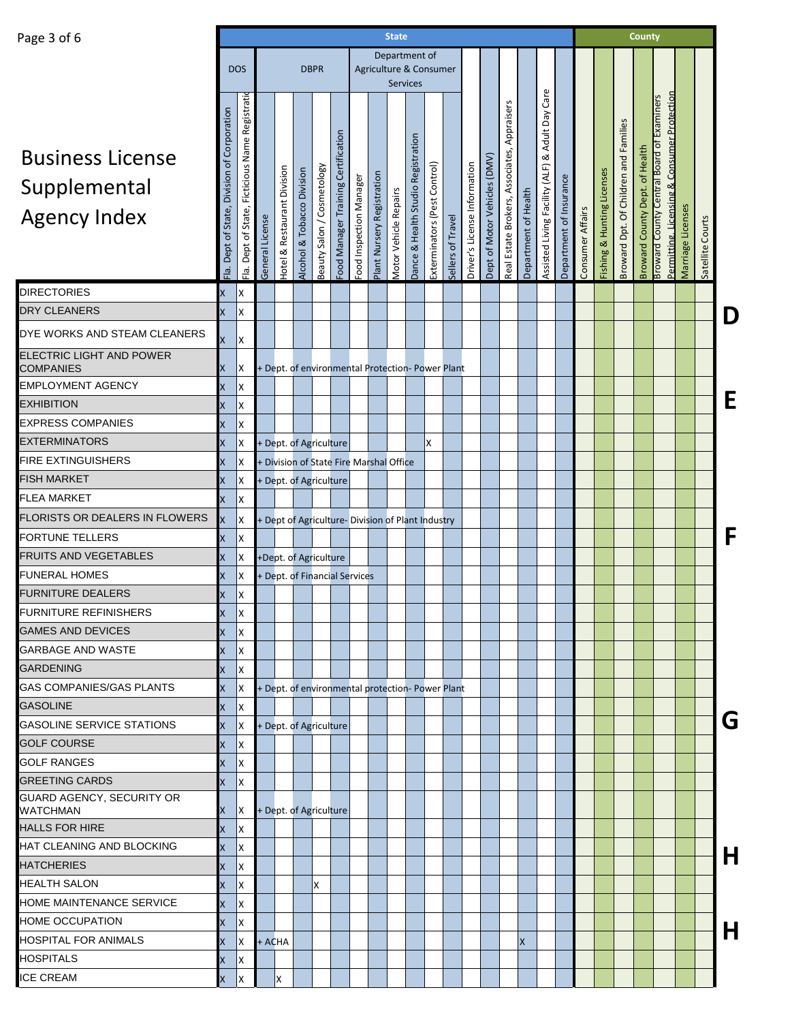| Page 3 of 6                                                    |                                                     |                                                    |                 |                                        |                            |                            |                                                   |                        |                            | <b>State</b>                            |                                    |                              |                  |                              |                                 |                                                         |                           |                                                             |                            |                  |                            |                                                  | County                                                  |                                                                                                    |                   |                  |   |
|----------------------------------------------------------------|-----------------------------------------------------|----------------------------------------------------|-----------------|----------------------------------------|----------------------------|----------------------------|---------------------------------------------------|------------------------|----------------------------|-----------------------------------------|------------------------------------|------------------------------|------------------|------------------------------|---------------------------------|---------------------------------------------------------|---------------------------|-------------------------------------------------------------|----------------------------|------------------|----------------------------|--------------------------------------------------|---------------------------------------------------------|----------------------------------------------------------------------------------------------------|-------------------|------------------|---|
|                                                                |                                                     | <b>DOS</b>                                         |                 |                                        |                            | <b>DBPR</b>                |                                                   |                        |                            | Department of<br>Agriculture & Consumer |                                    |                              |                  |                              |                                 |                                                         |                           |                                                             |                            |                  |                            |                                                  |                                                         |                                                                                                    |                   |                  |   |
|                                                                |                                                     |                                                    |                 |                                        |                            |                            |                                                   |                        |                            | Services                                |                                    |                              |                  |                              |                                 |                                                         |                           |                                                             |                            |                  |                            |                                                  |                                                         |                                                                                                    |                   |                  |   |
| <b>Business License</b><br>Supplemental<br><b>Agency Index</b> | Corporation<br>ð<br>Division<br>-la. Dept of State, | Ficticious Name Registratio<br>Fla. Dept of State, | General License | <b>Hotel &amp; Restaurant Division</b> | Alcohol & Tobacco Division | Beauty Salon / Cosmetology | ood Manager Training Certification                | ood Inspection Manager | Plant Nursery Registration | <b>Motor Vehicle Repairs</b>            | Dance & Health Studio Registration | Exterminators (Pest Control) | iellers of Trave | Driver's License Information | Vehicles (DMV)<br>Dept of Motor | Appraisers<br>Associates,<br>Brokers,<br>Estate<br>Real | Health<br>Ⴆ<br>Department | Care<br>Adult Day<br>ವ<br>(ALF)<br>Assisted Living Facility | Insurance<br>Department of | Consumer Affairs | Fishing & Hunting Licenses | Families<br>and<br>Children<br>ð<br>Broward Dpt. | <b>Health</b><br>ð<br>Dept.<br>County<br><b>Broward</b> | Permitting. Licensing & Consumer Protection<br>Examiners<br><b>Broward County Central Board of</b> | Marriage Licenses | Satellite Courts |   |
| <b>DIRECTORIES</b>                                             | X                                                   | Χ                                                  |                 |                                        |                            |                            |                                                   |                        |                            |                                         |                                    |                              |                  |                              |                                 |                                                         |                           |                                                             |                            |                  |                            |                                                  |                                                         |                                                                                                    |                   |                  |   |
| <b>DRY CLEANERS</b>                                            | X                                                   | Χ                                                  |                 |                                        |                            |                            |                                                   |                        |                            |                                         |                                    |                              |                  |                              |                                 |                                                         |                           |                                                             |                            |                  |                            |                                                  |                                                         |                                                                                                    |                   |                  | D |
| DYE WORKS AND STEAM CLEANERS                                   |                                                     |                                                    |                 |                                        |                            |                            |                                                   |                        |                            |                                         |                                    |                              |                  |                              |                                 |                                                         |                           |                                                             |                            |                  |                            |                                                  |                                                         |                                                                                                    |                   |                  |   |
| ELECTRIC LIGHT AND POWER<br><b>COMPANIES</b>                   | X                                                   | IX<br>x                                            |                 |                                        |                            |                            | + Dept. of environmental Protection- Power Plant  |                        |                            |                                         |                                    |                              |                  |                              |                                 |                                                         |                           |                                                             |                            |                  |                            |                                                  |                                                         |                                                                                                    |                   |                  |   |
| <b>EMPLOYMENT AGENCY</b>                                       | ΙX                                                  | Χ                                                  |                 |                                        |                            |                            |                                                   |                        |                            |                                         |                                    |                              |                  |                              |                                 |                                                         |                           |                                                             |                            |                  |                            |                                                  |                                                         |                                                                                                    |                   |                  |   |
| EXHIBITION                                                     |                                                     | Χ                                                  |                 |                                        |                            |                            |                                                   |                        |                            |                                         |                                    |                              |                  |                              |                                 |                                                         |                           |                                                             |                            |                  |                            |                                                  |                                                         |                                                                                                    |                   |                  | E |
| <b>EXPRESS COMPANIES</b>                                       | X                                                   | Χ                                                  |                 |                                        |                            |                            |                                                   |                        |                            |                                         |                                    |                              |                  |                              |                                 |                                                         |                           |                                                             |                            |                  |                            |                                                  |                                                         |                                                                                                    |                   |                  |   |
| EXTERMINATORS                                                  |                                                     | Χ                                                  |                 | + Dept. of Agriculture                 |                            |                            |                                                   |                        |                            |                                         |                                    | Χ                            |                  |                              |                                 |                                                         |                           |                                                             |                            |                  |                            |                                                  |                                                         |                                                                                                    |                   |                  |   |
| <b>FIRE EXTINGUISHERS</b>                                      | X                                                   | X                                                  |                 |                                        |                            |                            | + Division of State Fire Marshal Office           |                        |                            |                                         |                                    |                              |                  |                              |                                 |                                                         |                           |                                                             |                            |                  |                            |                                                  |                                                         |                                                                                                    |                   |                  |   |
| FISH MARKET                                                    | х                                                   | Χ                                                  |                 | + Dept. of Agriculture                 |                            |                            |                                                   |                        |                            |                                         |                                    |                              |                  |                              |                                 |                                                         |                           |                                                             |                            |                  |                            |                                                  |                                                         |                                                                                                    |                   |                  |   |
| <b>FLEA MARKET</b>                                             | X                                                   | Ιx                                                 |                 |                                        |                            |                            |                                                   |                        |                            |                                         |                                    |                              |                  |                              |                                 |                                                         |                           |                                                             |                            |                  |                            |                                                  |                                                         |                                                                                                    |                   |                  |   |
| FLORISTS OR DEALERS IN FLOWERS                                 | X                                                   | χ                                                  |                 |                                        |                            |                            | + Dept of Agriculture- Division of Plant Industry |                        |                            |                                         |                                    |                              |                  |                              |                                 |                                                         |                           |                                                             |                            |                  |                            |                                                  |                                                         |                                                                                                    |                   |                  |   |
| <b>FORTUNE TELLERS</b>                                         | ΙX                                                  | X                                                  |                 |                                        |                            |                            |                                                   |                        |                            |                                         |                                    |                              |                  |                              |                                 |                                                         |                           |                                                             |                            |                  |                            |                                                  |                                                         |                                                                                                    |                   |                  | F |
| FRUITS AND VEGETABLES                                          | ΙX                                                  | Χ                                                  |                 | +Dept. of Agriculture                  |                            |                            |                                                   |                        |                            |                                         |                                    |                              |                  |                              |                                 |                                                         |                           |                                                             |                            |                  |                            |                                                  |                                                         |                                                                                                    |                   |                  |   |
| FUNERAL HOMES                                                  | X                                                   | X                                                  |                 |                                        |                            |                            | + Dept. of Financial Services                     |                        |                            |                                         |                                    |                              |                  |                              |                                 |                                                         |                           |                                                             |                            |                  |                            |                                                  |                                                         |                                                                                                    |                   |                  |   |
| FURNITURE DEALERS                                              | X                                                   | Iχ                                                 |                 |                                        |                            |                            |                                                   |                        |                            |                                         |                                    |                              |                  |                              |                                 |                                                         |                           |                                                             |                            |                  |                            |                                                  |                                                         |                                                                                                    |                   |                  |   |
| FURNITURE REFINISHERS                                          | X                                                   | Ιx                                                 |                 |                                        |                            |                            |                                                   |                        |                            |                                         |                                    |                              |                  |                              |                                 |                                                         |                           |                                                             |                            |                  |                            |                                                  |                                                         |                                                                                                    |                   |                  |   |
| <b>GAMES AND DEVICES</b>                                       | X                                                   | Ιx                                                 |                 |                                        |                            |                            |                                                   |                        |                            |                                         |                                    |                              |                  |                              |                                 |                                                         |                           |                                                             |                            |                  |                            |                                                  |                                                         |                                                                                                    |                   |                  |   |
| GARBAGE AND WASTE                                              | X                                                   | X                                                  |                 |                                        |                            |                            |                                                   |                        |                            |                                         |                                    |                              |                  |                              |                                 |                                                         |                           |                                                             |                            |                  |                            |                                                  |                                                         |                                                                                                    |                   |                  |   |
| <b>GARDENING</b>                                               | X                                                   | <b>X</b>                                           |                 |                                        |                            |                            |                                                   |                        |                            |                                         |                                    |                              |                  |                              |                                 |                                                         |                           |                                                             |                            |                  |                            |                                                  |                                                         |                                                                                                    |                   |                  |   |
| GAS COMPANIES/GAS PLANTS                                       | X                                                   | X                                                  |                 |                                        |                            |                            | + Dept. of environmental protection- Power Plant  |                        |                            |                                         |                                    |                              |                  |                              |                                 |                                                         |                           |                                                             |                            |                  |                            |                                                  |                                                         |                                                                                                    |                   |                  |   |
| GASOLINE                                                       | X                                                   | Ix.                                                |                 |                                        |                            |                            |                                                   |                        |                            |                                         |                                    |                              |                  |                              |                                 |                                                         |                           |                                                             |                            |                  |                            |                                                  |                                                         |                                                                                                    |                   |                  |   |
| GASOLINE SERVICE STATIONS                                      | X                                                   | X                                                  |                 | + Dept. of Agriculture                 |                            |                            |                                                   |                        |                            |                                         |                                    |                              |                  |                              |                                 |                                                         |                           |                                                             |                            |                  |                            |                                                  |                                                         |                                                                                                    |                   |                  | G |
| GOLF COURSE                                                    | X                                                   | X                                                  |                 |                                        |                            |                            |                                                   |                        |                            |                                         |                                    |                              |                  |                              |                                 |                                                         |                           |                                                             |                            |                  |                            |                                                  |                                                         |                                                                                                    |                   |                  |   |
| <b>GOLF RANGES</b>                                             | X                                                   | <b>x</b>                                           |                 |                                        |                            |                            |                                                   |                        |                            |                                         |                                    |                              |                  |                              |                                 |                                                         |                           |                                                             |                            |                  |                            |                                                  |                                                         |                                                                                                    |                   |                  |   |
| <b>GREETING CARDS</b>                                          | X                                                   | <b>X</b>                                           |                 |                                        |                            |                            |                                                   |                        |                            |                                         |                                    |                              |                  |                              |                                 |                                                         |                           |                                                             |                            |                  |                            |                                                  |                                                         |                                                                                                    |                   |                  |   |
| GUARD AGENCY, SECURITY OR<br><b>WATCHMAN</b>                   | X                                                   | Iχ                                                 |                 | + Dept. of Agriculture                 |                            |                            |                                                   |                        |                            |                                         |                                    |                              |                  |                              |                                 |                                                         |                           |                                                             |                            |                  |                            |                                                  |                                                         |                                                                                                    |                   |                  |   |
| <b>HALLS FOR HIRE</b>                                          | X                                                   | X                                                  |                 |                                        |                            |                            |                                                   |                        |                            |                                         |                                    |                              |                  |                              |                                 |                                                         |                           |                                                             |                            |                  |                            |                                                  |                                                         |                                                                                                    |                   |                  |   |
| HAT CLEANING AND BLOCKING                                      | X                                                   | <b>X</b>                                           |                 |                                        |                            |                            |                                                   |                        |                            |                                         |                                    |                              |                  |                              |                                 |                                                         |                           |                                                             |                            |                  |                            |                                                  |                                                         |                                                                                                    |                   |                  | Η |
| HATCHERIES                                                     | X                                                   | X                                                  |                 |                                        |                            |                            |                                                   |                        |                            |                                         |                                    |                              |                  |                              |                                 |                                                         |                           |                                                             |                            |                  |                            |                                                  |                                                         |                                                                                                    |                   |                  |   |
| <b>HEALTH SALON</b>                                            | X                                                   | X                                                  |                 |                                        |                            | X                          |                                                   |                        |                            |                                         |                                    |                              |                  |                              |                                 |                                                         |                           |                                                             |                            |                  |                            |                                                  |                                                         |                                                                                                    |                   |                  |   |
| HOME MAINTENANCE SERVICE                                       | X                                                   | lx.                                                |                 |                                        |                            |                            |                                                   |                        |                            |                                         |                                    |                              |                  |                              |                                 |                                                         |                           |                                                             |                            |                  |                            |                                                  |                                                         |                                                                                                    |                   |                  |   |
| HOME OCCUPATION                                                | X                                                   | X                                                  |                 |                                        |                            |                            |                                                   |                        |                            |                                         |                                    |                              |                  |                              |                                 |                                                         |                           |                                                             |                            |                  |                            |                                                  |                                                         |                                                                                                    |                   |                  | Η |
| <b>HOSPITAL FOR ANIMALS</b>                                    | X                                                   | $\mathsf{X}$                                       | + ACHA          |                                        |                            |                            |                                                   |                        |                            |                                         |                                    |                              |                  |                              |                                 |                                                         | $\boldsymbol{\mathsf{X}}$ |                                                             |                            |                  |                            |                                                  |                                                         |                                                                                                    |                   |                  |   |
| <b>HOSPITALS</b>                                               | X                                                   | <b>X</b>                                           |                 |                                        |                            |                            |                                                   |                        |                            |                                         |                                    |                              |                  |                              |                                 |                                                         |                           |                                                             |                            |                  |                            |                                                  |                                                         |                                                                                                    |                   |                  |   |
| <b>ICE CREAM</b>                                               | X                                                   | X                                                  |                 | Χ                                      |                            |                            |                                                   |                        |                            |                                         |                                    |                              |                  |                              |                                 |                                                         |                           |                                                             |                            |                  |                            |                                                  |                                                         |                                                                                                    |                   |                  |   |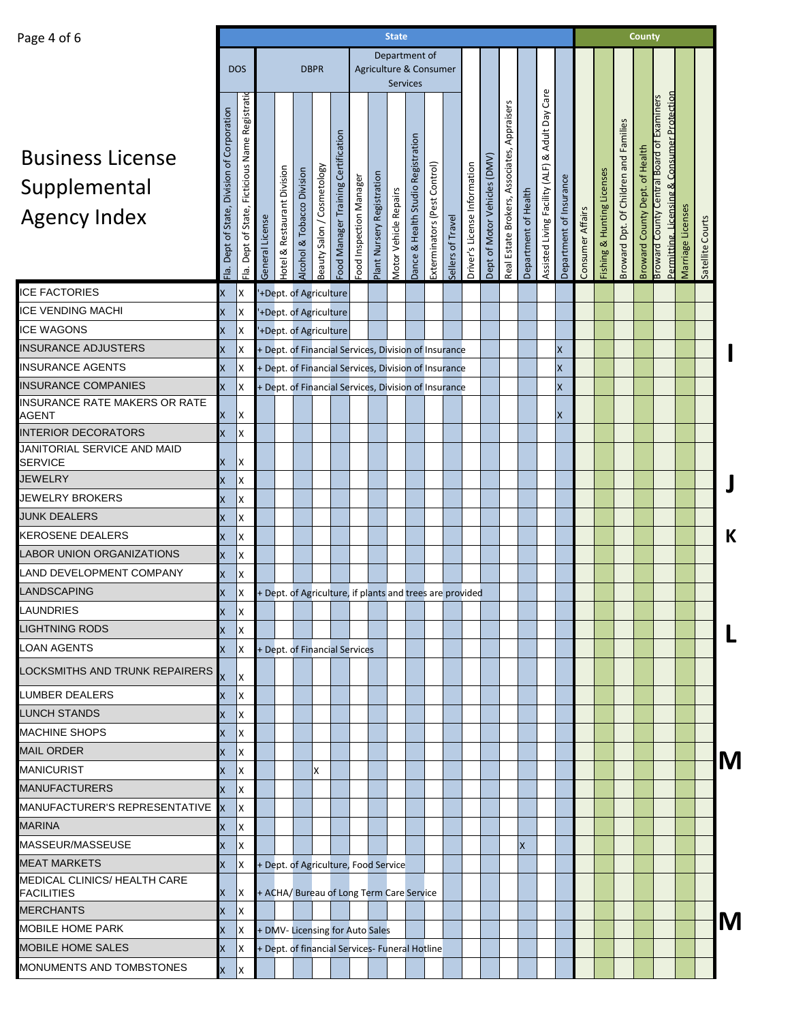| Page 4 of 6                                                    |                                             |                                                  |                 |                                        |                            |                            |                                     |                                          |                            | <b>State</b>                 |                                                    |                                                          |                      |                              |                              |                                                |                           |                                                       |                         |                  |                            |                                       | <b>County</b>                  |                                                                                                    |                   |                     |   |
|----------------------------------------------------------------|---------------------------------------------|--------------------------------------------------|-----------------|----------------------------------------|----------------------------|----------------------------|-------------------------------------|------------------------------------------|----------------------------|------------------------------|----------------------------------------------------|----------------------------------------------------------|----------------------|------------------------------|------------------------------|------------------------------------------------|---------------------------|-------------------------------------------------------|-------------------------|------------------|----------------------------|---------------------------------------|--------------------------------|----------------------------------------------------------------------------------------------------|-------------------|---------------------|---|
|                                                                |                                             | <b>DOS</b>                                       |                 |                                        |                            | <b>DBPR</b>                |                                     |                                          |                            | Department of<br>Services    |                                                    | Agriculture & Consumer                                   |                      |                              |                              |                                                |                           |                                                       |                         |                  |                            |                                       |                                |                                                                                                    |                   |                     |   |
| <b>Business License</b><br>Supplemental<br><b>Agency Index</b> | Fla. Dept of State, Division of Corporation | Fla. Dept of State, Ficticious Name Registration | General License | <b>Hotel &amp; Restaurant Division</b> | Alcohol & Tobacco Division | Beauty Salon / Cosmetology | Food Manager Training Certification | Food Inspection Manager                  | Plant Nursery Registration | <b>Motor Vehicle Repairs</b> | Registration<br><b>Studio</b><br>& Health<br>Dance | Exterminators (Pest Control)                             | of Travel<br>Sellers | Driver's License Information | Dept of Motor Vehicles (DMV) | Appraisers<br>Real Estate Brokers, Associates, | Department of Health      | Care<br>& Adult Day<br>Assisted Living Facility (ALF) | Department of Insurance | Consumer Affairs | Fishing & Hunting Licenses | Broward Dpt. Of Children and Families | Broward County Dept. of Health | Permitting. Licensing & Consumer Protection<br>Examiners<br><b>Broward County Central Board of</b> | Marriage Licenses | Courts<br>Satellite |   |
| <b>ICE FACTORIES</b>                                           | X                                           | Χ                                                |                 | +Dept. of Agriculture                  |                            |                            |                                     |                                          |                            |                              |                                                    |                                                          |                      |                              |                              |                                                |                           |                                                       |                         |                  |                            |                                       |                                |                                                                                                    |                   |                     |   |
| ICE VENDING MACHI                                              | Χ                                           | Χ                                                |                 | +Dept. of Agriculture                  |                            |                            |                                     |                                          |                            |                              |                                                    |                                                          |                      |                              |                              |                                                |                           |                                                       |                         |                  |                            |                                       |                                |                                                                                                    |                   |                     |   |
| <b>ICE WAGONS</b>                                              | X                                           | Χ                                                |                 | +Dept. of Agriculture                  |                            |                            |                                     |                                          |                            |                              |                                                    |                                                          |                      |                              |                              |                                                |                           |                                                       |                         |                  |                            |                                       |                                |                                                                                                    |                   |                     |   |
| <b>INSURANCE ADJUSTERS</b>                                     | X                                           | Χ                                                |                 |                                        |                            |                            |                                     |                                          |                            |                              |                                                    | + Dept. of Financial Services, Division of Insurance     |                      |                              |                              |                                                |                           |                                                       | X                       |                  |                            |                                       |                                |                                                                                                    |                   |                     |   |
| <b>INSURANCE AGENTS</b>                                        | X                                           | Χ                                                |                 |                                        |                            |                            |                                     |                                          |                            |                              |                                                    | Dept. of Financial Services, Division of Insurance       |                      |                              |                              |                                                |                           |                                                       | X                       |                  |                            |                                       |                                |                                                                                                    |                   |                     |   |
| INSURANCE COMPANIES                                            | X                                           | X                                                |                 |                                        |                            |                            |                                     |                                          |                            |                              |                                                    | + Dept. of Financial Services, Division of Insurance     |                      |                              |                              |                                                |                           |                                                       | X                       |                  |                            |                                       |                                |                                                                                                    |                   |                     |   |
| INSURANCE RATE MAKERS OR RATE<br><b>AGENT</b>                  | X                                           | x                                                |                 |                                        |                            |                            |                                     |                                          |                            |                              |                                                    |                                                          |                      |                              |                              |                                                |                           |                                                       | X                       |                  |                            |                                       |                                |                                                                                                    |                   |                     |   |
| <b>INTERIOR DECORATORS</b>                                     | X                                           | Χ                                                |                 |                                        |                            |                            |                                     |                                          |                            |                              |                                                    |                                                          |                      |                              |                              |                                                |                           |                                                       |                         |                  |                            |                                       |                                |                                                                                                    |                   |                     |   |
| JANITORIAL SERVICE AND MAID<br><b>SERVICE</b>                  | X                                           | x                                                |                 |                                        |                            |                            |                                     |                                          |                            |                              |                                                    |                                                          |                      |                              |                              |                                                |                           |                                                       |                         |                  |                            |                                       |                                |                                                                                                    |                   |                     |   |
| JEWELRY                                                        | X                                           | Χ                                                |                 |                                        |                            |                            |                                     |                                          |                            |                              |                                                    |                                                          |                      |                              |                              |                                                |                           |                                                       |                         |                  |                            |                                       |                                |                                                                                                    |                   |                     | J |
| <b>JEWELRY BROKERS</b>                                         | Χ                                           | Χ                                                |                 |                                        |                            |                            |                                     |                                          |                            |                              |                                                    |                                                          |                      |                              |                              |                                                |                           |                                                       |                         |                  |                            |                                       |                                |                                                                                                    |                   |                     |   |
| <b>JUNK DEALERS</b>                                            | X                                           | Χ                                                |                 |                                        |                            |                            |                                     |                                          |                            |                              |                                                    |                                                          |                      |                              |                              |                                                |                           |                                                       |                         |                  |                            |                                       |                                |                                                                                                    |                   |                     |   |
| <b>KEROSENE DEALERS</b>                                        | Χ                                           | Χ                                                |                 |                                        |                            |                            |                                     |                                          |                            |                              |                                                    |                                                          |                      |                              |                              |                                                |                           |                                                       |                         |                  |                            |                                       |                                |                                                                                                    |                   |                     | K |
| <b>LABOR UNION ORGANIZATIONS</b>                               | X                                           | X                                                |                 |                                        |                            |                            |                                     |                                          |                            |                              |                                                    |                                                          |                      |                              |                              |                                                |                           |                                                       |                         |                  |                            |                                       |                                |                                                                                                    |                   |                     |   |
| <b>LAND DEVELOPMENT COMPANY</b>                                | Χ                                           | Χ                                                |                 |                                        |                            |                            |                                     |                                          |                            |                              |                                                    |                                                          |                      |                              |                              |                                                |                           |                                                       |                         |                  |                            |                                       |                                |                                                                                                    |                   |                     |   |
| LANDSCAPING                                                    | X                                           | X                                                |                 |                                        |                            |                            |                                     |                                          |                            |                              |                                                    | + Dept. of Agriculture, if plants and trees are provided |                      |                              |                              |                                                |                           |                                                       |                         |                  |                            |                                       |                                |                                                                                                    |                   |                     |   |
| LAUNDRIES                                                      | X                                           | Ιx                                               |                 |                                        |                            |                            |                                     |                                          |                            |                              |                                                    |                                                          |                      |                              |                              |                                                |                           |                                                       |                         |                  |                            |                                       |                                |                                                                                                    |                   |                     |   |
| LIGHTNING RODS                                                 | X                                           | X                                                |                 |                                        |                            |                            |                                     |                                          |                            |                              |                                                    |                                                          |                      |                              |                              |                                                |                           |                                                       |                         |                  |                            |                                       |                                |                                                                                                    |                   |                     |   |
| <b>LOAN AGENTS</b>                                             | $\mathsf{x}$                                | <b>x</b>                                         |                 |                                        |                            |                            |                                     | + Dept. of Financial Services            |                            |                              |                                                    |                                                          |                      |                              |                              |                                                |                           |                                                       |                         |                  |                            |                                       |                                |                                                                                                    |                   |                     |   |
| _OCKSMITHS AND TRUNK REPAIRERS                                 | X                                           | X                                                |                 |                                        |                            |                            |                                     |                                          |                            |                              |                                                    |                                                          |                      |                              |                              |                                                |                           |                                                       |                         |                  |                            |                                       |                                |                                                                                                    |                   |                     |   |
| LUMBER DEALERS                                                 | X                                           | X                                                |                 |                                        |                            |                            |                                     |                                          |                            |                              |                                                    |                                                          |                      |                              |                              |                                                |                           |                                                       |                         |                  |                            |                                       |                                |                                                                                                    |                   |                     |   |
| LUNCH STANDS                                                   | X                                           | Χ                                                |                 |                                        |                            |                            |                                     |                                          |                            |                              |                                                    |                                                          |                      |                              |                              |                                                |                           |                                                       |                         |                  |                            |                                       |                                |                                                                                                    |                   |                     |   |
| <b>MACHINE SHOPS</b>                                           | X                                           | X                                                |                 |                                        |                            |                            |                                     |                                          |                            |                              |                                                    |                                                          |                      |                              |                              |                                                |                           |                                                       |                         |                  |                            |                                       |                                |                                                                                                    |                   |                     |   |
| MAIL ORDER                                                     | X                                           | X                                                |                 |                                        |                            |                            |                                     |                                          |                            |                              |                                                    |                                                          |                      |                              |                              |                                                |                           |                                                       |                         |                  |                            |                                       |                                |                                                                                                    |                   |                     |   |
| <b>MANICURIST</b>                                              | X                                           | X                                                |                 |                                        |                            | x                          |                                     |                                          |                            |                              |                                                    |                                                          |                      |                              |                              |                                                |                           |                                                       |                         |                  |                            |                                       |                                |                                                                                                    |                   |                     | M |
| MANUFACTURERS                                                  | $\mathsf{X}$                                | X                                                |                 |                                        |                            |                            |                                     |                                          |                            |                              |                                                    |                                                          |                      |                              |                              |                                                |                           |                                                       |                         |                  |                            |                                       |                                |                                                                                                    |                   |                     |   |
| MANUFACTURER'S REPRESENTATIVE X                                |                                             | X                                                |                 |                                        |                            |                            |                                     |                                          |                            |                              |                                                    |                                                          |                      |                              |                              |                                                |                           |                                                       |                         |                  |                            |                                       |                                |                                                                                                    |                   |                     |   |
| <b>MARINA</b>                                                  | X.                                          | X                                                |                 |                                        |                            |                            |                                     |                                          |                            |                              |                                                    |                                                          |                      |                              |                              |                                                |                           |                                                       |                         |                  |                            |                                       |                                |                                                                                                    |                   |                     |   |
| MASSEUR/MASSEUSE                                               | X                                           | X                                                |                 |                                        |                            |                            |                                     |                                          |                            |                              |                                                    |                                                          |                      |                              |                              |                                                | $\boldsymbol{\mathsf{X}}$ |                                                       |                         |                  |                            |                                       |                                |                                                                                                    |                   |                     |   |
| <b>MEAT MARKETS</b>                                            | <b>X</b>                                    | <b>X</b>                                         |                 |                                        |                            |                            |                                     | + Dept. of Agriculture, Food Service     |                            |                              |                                                    |                                                          |                      |                              |                              |                                                |                           |                                                       |                         |                  |                            |                                       |                                |                                                                                                    |                   |                     |   |
| MEDICAL CLINICS/ HEALTH CARE<br>FACILITIES                     | X.                                          | X                                                |                 |                                        |                            |                            |                                     | + ACHA/ Bureau of Long Term Care Service |                            |                              |                                                    |                                                          |                      |                              |                              |                                                |                           |                                                       |                         |                  |                            |                                       |                                |                                                                                                    |                   |                     |   |
| MERCHANTS                                                      | X                                           | Ix.                                              |                 |                                        |                            |                            |                                     |                                          |                            |                              |                                                    |                                                          |                      |                              |                              |                                                |                           |                                                       |                         |                  |                            |                                       |                                |                                                                                                    |                   |                     |   |
| <b>MOBILE HOME PARK</b>                                        | X                                           | X                                                |                 |                                        |                            |                            |                                     | + DMV- Licensing for Auto Sales          |                            |                              |                                                    |                                                          |                      |                              |                              |                                                |                           |                                                       |                         |                  |                            |                                       |                                |                                                                                                    |                   |                     | M |
| MOBILE HOME SALES                                              | X                                           | X                                                |                 |                                        |                            |                            |                                     |                                          |                            |                              |                                                    | + Dept. of financial Services- Funeral Hotline           |                      |                              |                              |                                                |                           |                                                       |                         |                  |                            |                                       |                                |                                                                                                    |                   |                     |   |
| MONUMENTS AND TOMBSTONES                                       | X.                                          | X                                                |                 |                                        |                            |                            |                                     |                                          |                            |                              |                                                    |                                                          |                      |                              |                              |                                                |                           |                                                       |                         |                  |                            |                                       |                                |                                                                                                    |                   |                     |   |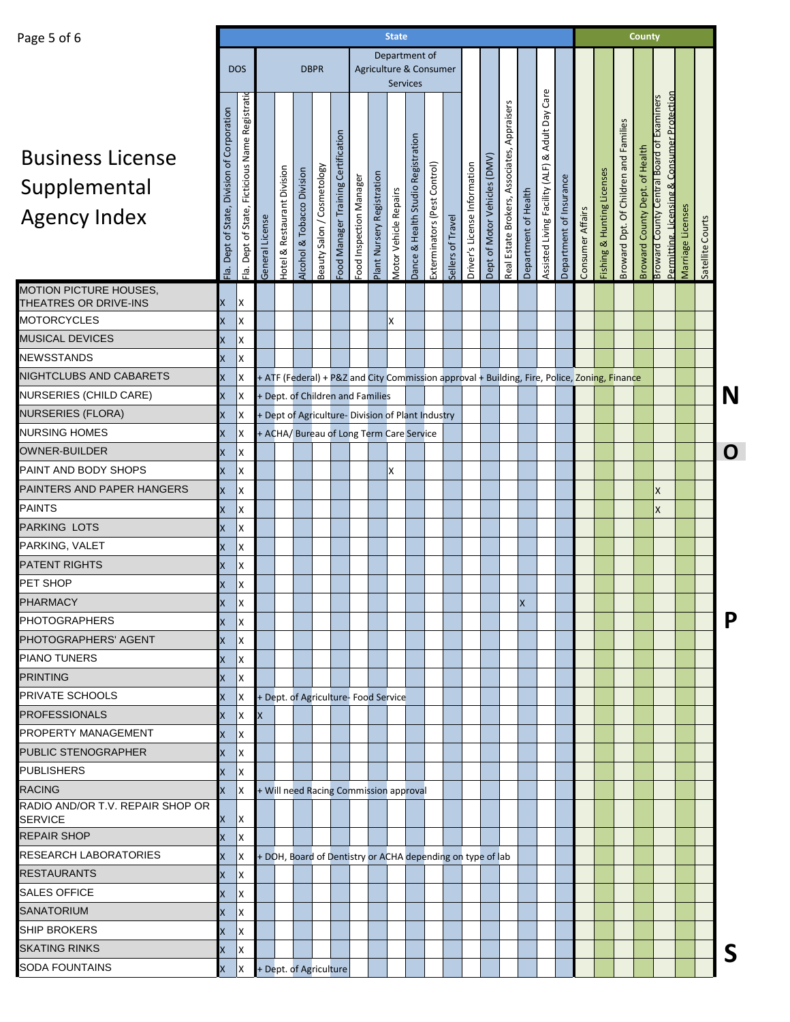| Page 5 of 6 |  |  |  |
|-------------|--|--|--|
|-------------|--|--|--|

| Page 5 of 6                                                    |                                             |                                                 |                 |                                        |                            |                            |                                    |                         |                                          | <b>State</b>                 |                                       |                                                            |                   |                              |                              |                                             |                      |                                                                        |                         |                  |                            |                                                                                              | County                         |                                                                                                 |                   |                     |   |
|----------------------------------------------------------------|---------------------------------------------|-------------------------------------------------|-----------------|----------------------------------------|----------------------------|----------------------------|------------------------------------|-------------------------|------------------------------------------|------------------------------|---------------------------------------|------------------------------------------------------------|-------------------|------------------------------|------------------------------|---------------------------------------------|----------------------|------------------------------------------------------------------------|-------------------------|------------------|----------------------------|----------------------------------------------------------------------------------------------|--------------------------------|-------------------------------------------------------------------------------------------------|-------------------|---------------------|---|
|                                                                |                                             | <b>DOS</b>                                      |                 |                                        | <b>DBPR</b>                |                            |                                    |                         |                                          |                              | Department of<br><b>Services</b>      | Agriculture & Consumer                                     |                   |                              |                              |                                             |                      |                                                                        |                         |                  |                            |                                                                                              |                                |                                                                                                 |                   |                     |   |
| <b>Business License</b><br>Supplemental<br><b>Agency Index</b> | Fla. Dept of State, Division of Corporation | Fla. Dept of State, Ficticious Name Registratio | General License | <b>Hotel &amp; Restaurant Division</b> | Alcohol & Tobacco Division | Beauty Salon / Cosmetology | ood Manager Training Certification | -ood Inspection Manager | Plant Nursery Registration               | <b>Motor Vehicle Repairs</b> | & Health Studio Registration<br>Dance | Exterminators (Pest Control)                               | Sellers of Travel | Driver's License Information | Dept of Motor Vehicles (DMV) | Real Estate Brokers, Associates, Appraisers | Department of Health | $\mathbf \omega$<br>Ğ<br>& Adult Day<br>Assisted Living Facility (ALF) | Department of Insurance | Consumer Affairs | Fishing & Hunting Licenses | Broward Dpt. Of Children and Families                                                        | Broward County Dept. of Health | Permitting. Licensing & Consumer Protection<br><b>Broward County Central Board of Examiners</b> | Marriage Licenses | Courts<br>Satellite |   |
| MOTION PICTURE HOUSES,<br>THEATRES OR DRIVE-INS                | X                                           | X                                               |                 |                                        |                            |                            |                                    |                         |                                          |                              |                                       |                                                            |                   |                              |                              |                                             |                      |                                                                        |                         |                  |                            |                                                                                              |                                |                                                                                                 |                   |                     |   |
| MOTORCYCLES                                                    | X                                           | X                                               |                 |                                        |                            |                            |                                    |                         |                                          | X                            |                                       |                                                            |                   |                              |                              |                                             |                      |                                                                        |                         |                  |                            |                                                                                              |                                |                                                                                                 |                   |                     |   |
| MUSICAL DEVICES                                                |                                             | X                                               |                 |                                        |                            |                            |                                    |                         |                                          |                              |                                       |                                                            |                   |                              |                              |                                             |                      |                                                                        |                         |                  |                            |                                                                                              |                                |                                                                                                 |                   |                     |   |
| <b>NEWSSTANDS</b>                                              | X<br>X                                      | Χ                                               |                 |                                        |                            |                            |                                    |                         |                                          |                              |                                       |                                                            |                   |                              |                              |                                             |                      |                                                                        |                         |                  |                            |                                                                                              |                                |                                                                                                 |                   |                     |   |
| NIGHTCLUBS AND CABARETS                                        | X                                           | X                                               |                 |                                        |                            |                            |                                    |                         |                                          |                              |                                       |                                                            |                   |                              |                              |                                             |                      |                                                                        |                         |                  |                            |                                                                                              |                                |                                                                                                 |                   |                     |   |
| NURSERIES (CHILD CARE)                                         | X                                           | Χ                                               |                 |                                        |                            |                            |                                    |                         | + Dept. of Children and Families         |                              |                                       |                                                            |                   |                              |                              |                                             |                      |                                                                        |                         |                  |                            | + ATF (Federal) + P&Z and City Commission approval + Building, Fire, Police, Zoning, Finance |                                |                                                                                                 |                   |                     | N |
| <b>NURSERIES (FLORA)</b>                                       | X                                           | X                                               |                 |                                        |                            |                            |                                    |                         |                                          |                              |                                       | + Dept of Agriculture- Division of Plant Industry          |                   |                              |                              |                                             |                      |                                                                        |                         |                  |                            |                                                                                              |                                |                                                                                                 |                   |                     |   |
| NURSING HOMES                                                  | X                                           | Χ                                               |                 |                                        |                            |                            |                                    |                         | + ACHA/ Bureau of Long Term Care Service |                              |                                       |                                                            |                   |                              |                              |                                             |                      |                                                                        |                         |                  |                            |                                                                                              |                                |                                                                                                 |                   |                     |   |
| OWNER-BUILDER                                                  | X                                           | X                                               |                 |                                        |                            |                            |                                    |                         |                                          |                              |                                       |                                                            |                   |                              |                              |                                             |                      |                                                                        |                         |                  |                            |                                                                                              |                                |                                                                                                 |                   |                     | O |
| PAINT AND BODY SHOPS                                           | X                                           | Ιx                                              |                 |                                        |                            |                            |                                    |                         |                                          | X                            |                                       |                                                            |                   |                              |                              |                                             |                      |                                                                        |                         |                  |                            |                                                                                              |                                |                                                                                                 |                   |                     |   |
| PAINTERS AND PAPER HANGERS                                     | X                                           | Χ                                               |                 |                                        |                            |                            |                                    |                         |                                          |                              |                                       |                                                            |                   |                              |                              |                                             |                      |                                                                        |                         |                  |                            |                                                                                              |                                | X                                                                                               |                   |                     |   |
| <b>PAINTS</b>                                                  | X                                           | X                                               |                 |                                        |                            |                            |                                    |                         |                                          |                              |                                       |                                                            |                   |                              |                              |                                             |                      |                                                                        |                         |                  |                            |                                                                                              |                                | X                                                                                               |                   |                     |   |
| PARKING LOTS                                                   | X                                           | X                                               |                 |                                        |                            |                            |                                    |                         |                                          |                              |                                       |                                                            |                   |                              |                              |                                             |                      |                                                                        |                         |                  |                            |                                                                                              |                                |                                                                                                 |                   |                     |   |
| PARKING, VALET                                                 | X                                           | Χ                                               |                 |                                        |                            |                            |                                    |                         |                                          |                              |                                       |                                                            |                   |                              |                              |                                             |                      |                                                                        |                         |                  |                            |                                                                                              |                                |                                                                                                 |                   |                     |   |
| <b>PATENT RIGHTS</b>                                           | X                                           | Χ                                               |                 |                                        |                            |                            |                                    |                         |                                          |                              |                                       |                                                            |                   |                              |                              |                                             |                      |                                                                        |                         |                  |                            |                                                                                              |                                |                                                                                                 |                   |                     |   |
| PET SHOP                                                       | X                                           | X                                               |                 |                                        |                            |                            |                                    |                         |                                          |                              |                                       |                                                            |                   |                              |                              |                                             |                      |                                                                        |                         |                  |                            |                                                                                              |                                |                                                                                                 |                   |                     |   |
| PHARMACY                                                       | X                                           | $\mathsf{X}$                                    |                 |                                        |                            |                            |                                    |                         |                                          |                              |                                       |                                                            |                   |                              |                              |                                             | ΙX                   |                                                                        |                         |                  |                            |                                                                                              |                                |                                                                                                 |                   |                     |   |
| PHOTOGRAPHERS                                                  | X                                           | X                                               |                 |                                        |                            |                            |                                    |                         |                                          |                              |                                       |                                                            |                   |                              |                              |                                             |                      |                                                                        |                         |                  |                            |                                                                                              |                                |                                                                                                 |                   |                     | P |
| PHOTOGRAPHERS' AGENT                                           | X                                           | X                                               |                 |                                        |                            |                            |                                    |                         |                                          |                              |                                       |                                                            |                   |                              |                              |                                             |                      |                                                                        |                         |                  |                            |                                                                                              |                                |                                                                                                 |                   |                     |   |
| PIANO TUNERS                                                   | X                                           | Χ                                               |                 |                                        |                            |                            |                                    |                         |                                          |                              |                                       |                                                            |                   |                              |                              |                                             |                      |                                                                        |                         |                  |                            |                                                                                              |                                |                                                                                                 |                   |                     |   |
| <b>PRINTING</b>                                                | X                                           | Χ                                               |                 |                                        |                            |                            |                                    |                         |                                          |                              |                                       |                                                            |                   |                              |                              |                                             |                      |                                                                        |                         |                  |                            |                                                                                              |                                |                                                                                                 |                   |                     |   |
| PRIVATE SCHOOLS                                                | X                                           | X                                               |                 |                                        |                            |                            |                                    |                         | + Dept. of Agriculture- Food Service     |                              |                                       |                                                            |                   |                              |                              |                                             |                      |                                                                        |                         |                  |                            |                                                                                              |                                |                                                                                                 |                   |                     |   |
| <b>PROFESSIONALS</b>                                           | X                                           | x                                               | X               |                                        |                            |                            |                                    |                         |                                          |                              |                                       |                                                            |                   |                              |                              |                                             |                      |                                                                        |                         |                  |                            |                                                                                              |                                |                                                                                                 |                   |                     |   |
| PROPERTY MANAGEMENT                                            | X                                           | lx.                                             |                 |                                        |                            |                            |                                    |                         |                                          |                              |                                       |                                                            |                   |                              |                              |                                             |                      |                                                                        |                         |                  |                            |                                                                                              |                                |                                                                                                 |                   |                     |   |
| PUBLIC STENOGRAPHER                                            | X                                           | Χ                                               |                 |                                        |                            |                            |                                    |                         |                                          |                              |                                       |                                                            |                   |                              |                              |                                             |                      |                                                                        |                         |                  |                            |                                                                                              |                                |                                                                                                 |                   |                     |   |
| <b>PUBLISHERS</b>                                              | X                                           | X                                               |                 |                                        |                            |                            |                                    |                         |                                          |                              |                                       |                                                            |                   |                              |                              |                                             |                      |                                                                        |                         |                  |                            |                                                                                              |                                |                                                                                                 |                   |                     |   |
| <b>RACING</b>                                                  | X.                                          | X                                               |                 |                                        |                            |                            |                                    |                         | + Will need Racing Commission approval   |                              |                                       |                                                            |                   |                              |                              |                                             |                      |                                                                        |                         |                  |                            |                                                                                              |                                |                                                                                                 |                   |                     |   |
| RADIO AND/OR T.V. REPAIR SHOP OR<br><b>SERVICE</b>             | X                                           | ΙX                                              |                 |                                        |                            |                            |                                    |                         |                                          |                              |                                       |                                                            |                   |                              |                              |                                             |                      |                                                                        |                         |                  |                            |                                                                                              |                                |                                                                                                 |                   |                     |   |
| REPAIR SHOP                                                    | X                                           | X                                               |                 |                                        |                            |                            |                                    |                         |                                          |                              |                                       |                                                            |                   |                              |                              |                                             |                      |                                                                        |                         |                  |                            |                                                                                              |                                |                                                                                                 |                   |                     |   |
| RESEARCH LABORATORIES                                          | X.                                          | X                                               |                 |                                        |                            |                            |                                    |                         |                                          |                              |                                       | + DOH, Board of Dentistry or ACHA depending on type of lab |                   |                              |                              |                                             |                      |                                                                        |                         |                  |                            |                                                                                              |                                |                                                                                                 |                   |                     |   |
| <b>RESTAURANTS</b>                                             | X                                           | X                                               |                 |                                        |                            |                            |                                    |                         |                                          |                              |                                       |                                                            |                   |                              |                              |                                             |                      |                                                                        |                         |                  |                            |                                                                                              |                                |                                                                                                 |                   |                     |   |
| <b>SALES OFFICE</b>                                            | X                                           | Χ                                               |                 |                                        |                            |                            |                                    |                         |                                          |                              |                                       |                                                            |                   |                              |                              |                                             |                      |                                                                        |                         |                  |                            |                                                                                              |                                |                                                                                                 |                   |                     |   |
| <b>SANATORIUM</b>                                              | X                                           | X                                               |                 |                                        |                            |                            |                                    |                         |                                          |                              |                                       |                                                            |                   |                              |                              |                                             |                      |                                                                        |                         |                  |                            |                                                                                              |                                |                                                                                                 |                   |                     |   |
| SHIP BROKERS                                                   | X                                           | X                                               |                 |                                        |                            |                            |                                    |                         |                                          |                              |                                       |                                                            |                   |                              |                              |                                             |                      |                                                                        |                         |                  |                            |                                                                                              |                                |                                                                                                 |                   |                     |   |
| <b>SKATING RINKS</b>                                           | X                                           | X                                               |                 |                                        |                            |                            |                                    |                         |                                          |                              |                                       |                                                            |                   |                              |                              |                                             |                      |                                                                        |                         |                  |                            |                                                                                              |                                |                                                                                                 |                   |                     | S |
| SODA FOUNTAINS                                                 | X                                           | X                                               |                 | + Dept. of Agriculture                 |                            |                            |                                    |                         |                                          |                              |                                       |                                                            |                   |                              |                              |                                             |                      |                                                                        |                         |                  |                            |                                                                                              |                                |                                                                                                 |                   |                     |   |
|                                                                |                                             |                                                 |                 |                                        |                            |                            |                                    |                         |                                          |                              |                                       |                                                            |                   |                              |                              |                                             |                      |                                                                        |                         |                  |                            |                                                                                              |                                |                                                                                                 |                   |                     |   |